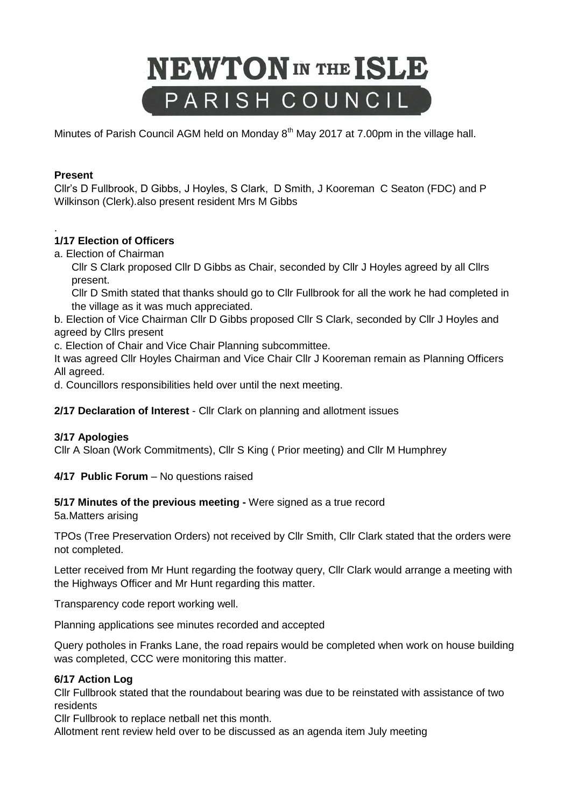# **NEWTON** IN THE ISLE PARISH COUNCIL

Minutes of Parish Council AGM held on Monday 8<sup>th</sup> May 2017 at 7.00pm in the village hall.

## **Present**

Cllr's D Fullbrook, D Gibbs, J Hoyles, S Clark, D Smith, J Kooreman C Seaton (FDC) and P Wilkinson (Clerk).also present resident Mrs M Gibbs

#### . **1/17 Election of Officers**

a. Election of Chairman

Cllr S Clark proposed Cllr D Gibbs as Chair, seconded by Cllr J Hoyles agreed by all Cllrs present.

Cllr D Smith stated that thanks should go to Cllr Fullbrook for all the work he had completed in the village as it was much appreciated.

b. Election of Vice Chairman Cllr D Gibbs proposed Cllr S Clark, seconded by Cllr J Hoyles and agreed by Cllrs present

c. Election of Chair and Vice Chair Planning subcommittee.

It was agreed Cllr Hoyles Chairman and Vice Chair Cllr J Kooreman remain as Planning Officers All agreed.

d. Councillors responsibilities held over until the next meeting.

**2/17 Declaration of Interest** - Cllr Clark on planning and allotment issues

#### **3/17 Apologies**

Cllr A Sloan (Work Commitments), Cllr S King ( Prior meeting) and Cllr M Humphrey

**4/17 Public Forum** – No questions raised

**5/17 Minutes of the previous meeting -** Were signed as a true record

5a.Matters arising

TPOs (Tree Preservation Orders) not received by Cllr Smith, Cllr Clark stated that the orders were not completed.

Letter received from Mr Hunt regarding the footway query, Cllr Clark would arrange a meeting with the Highways Officer and Mr Hunt regarding this matter.

Transparency code report working well.

Planning applications see minutes recorded and accepted

Query potholes in Franks Lane, the road repairs would be completed when work on house building was completed, CCC were monitoring this matter.

# **6/17 Action Log**

Cllr Fullbrook stated that the roundabout bearing was due to be reinstated with assistance of two residents

Cllr Fullbrook to replace netball net this month.

Allotment rent review held over to be discussed as an agenda item July meeting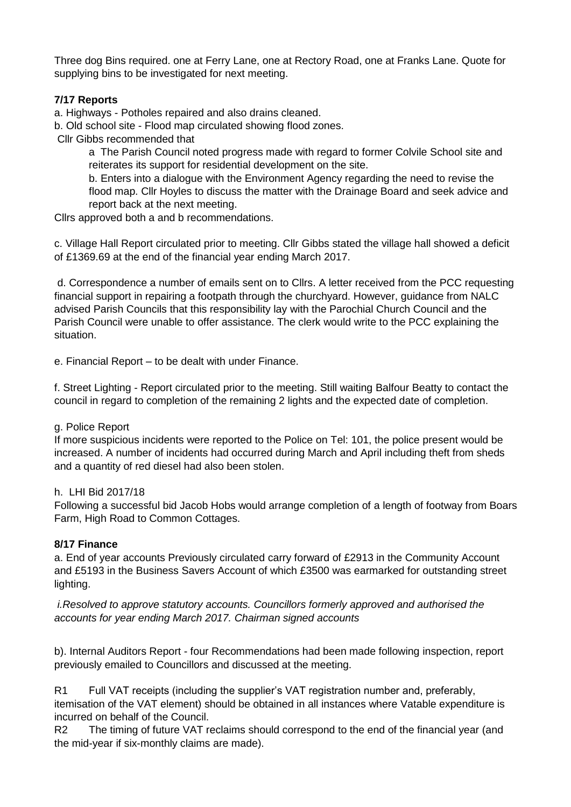Three dog Bins required. one at Ferry Lane, one at Rectory Road, one at Franks Lane. Quote for supplying bins to be investigated for next meeting.

# **7/17 Reports**

a. Highways - Potholes repaired and also drains cleaned.

b. Old school site - Flood map circulated showing flood zones.

Cllr Gibbs recommended that

a The Parish Council noted progress made with regard to former Colvile School site and reiterates its support for residential development on the site.

b. Enters into a dialogue with the Environment Agency regarding the need to revise the flood map. Cllr Hoyles to discuss the matter with the Drainage Board and seek advice and report back at the next meeting.

Cllrs approved both a and b recommendations.

c. Village Hall Report circulated prior to meeting. Cllr Gibbs stated the village hall showed a deficit of £1369.69 at the end of the financial year ending March 2017.

d. Correspondence a number of emails sent on to Cllrs. A letter received from the PCC requesting financial support in repairing a footpath through the churchyard. However, guidance from NALC advised Parish Councils that this responsibility lay with the Parochial Church Council and the Parish Council were unable to offer assistance. The clerk would write to the PCC explaining the situation.

e. Financial Report – to be dealt with under Finance.

f. Street Lighting - Report circulated prior to the meeting. Still waiting Balfour Beatty to contact the council in regard to completion of the remaining 2 lights and the expected date of completion.

#### g. Police Report

If more suspicious incidents were reported to the Police on Tel: 101, the police present would be increased. A number of incidents had occurred during March and April including theft from sheds and a quantity of red diesel had also been stolen.

#### h. LHI Bid 2017/18

Following a successful bid Jacob Hobs would arrange completion of a length of footway from Boars Farm, High Road to Common Cottages.

#### **8/17 Finance**

a. End of year accounts Previously circulated carry forward of £2913 in the Community Account and £5193 in the Business Savers Account of which £3500 was earmarked for outstanding street lighting.

*i.Resolved to approve statutory accounts. Councillors formerly approved and authorised the accounts for year ending March 2017. Chairman signed accounts*

b). Internal Auditors Report - four Recommendations had been made following inspection, report previously emailed to Councillors and discussed at the meeting.

R1 Full VAT receipts (including the supplier's VAT registration number and, preferably,

itemisation of the VAT element) should be obtained in all instances where Vatable expenditure is incurred on behalf of the Council.

R2 The timing of future VAT reclaims should correspond to the end of the financial year (and the mid-year if six-monthly claims are made).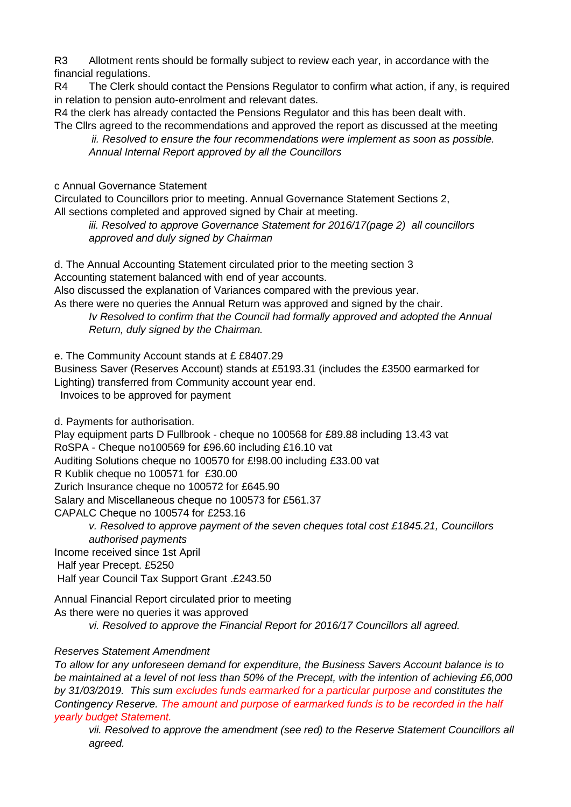R3 Allotment rents should be formally subject to review each year, in accordance with the financial regulations.

R4 The Clerk should contact the Pensions Regulator to confirm what action, if any, is required in relation to pension auto-enrolment and relevant dates.

R4 the clerk has already contacted the Pensions Regulator and this has been dealt with. The Cllrs agreed to the recommendations and approved the report as discussed at the meeting

*ii. Resolved to ensure the four recommendations were implement as soon as possible. Annual Internal Report approved by all the Councillors* 

c Annual Governance Statement

Circulated to Councillors prior to meeting. Annual Governance Statement Sections 2, All sections completed and approved signed by Chair at meeting.

*iii. Resolved to approve Governance Statement for 2016/17(page 2) all councillors approved and duly signed by Chairman*

d. The Annual Accounting Statement circulated prior to the meeting section 3 Accounting statement balanced with end of year accounts.

Also discussed the explanation of Variances compared with the previous year.

As there were no queries the Annual Return was approved and signed by the chair. *Iv Resolved to confirm that the Council had formally approved and adopted the Annual Return, duly signed by the Chairman.*

e. The Community Account stands at £ £8407.29

Business Saver (Reserves Account) stands at £5193.31 (includes the £3500 earmarked for Lighting) transferred from Community account year end. Invoices to be approved for payment

d. Payments for authorisation.

Play equipment parts D Fullbrook - cheque no 100568 for £89.88 including 13.43 vat RoSPA - Cheque no100569 for £96.60 including £16.10 vat Auditing Solutions cheque no 100570 for £!98.00 including £33.00 vat R Kublik cheque no 100571 for £30.00 Zurich Insurance cheque no 100572 for £645.90 Salary and Miscellaneous cheque no 100573 for £561.37 CAPALC Cheque no 100574 for £253.16 *v. Resolved to approve payment of the seven cheques total cost £1845.21, Councillors* 

*authorised payments* 

Income received since 1st April

Half year Precept. £5250

Half year Council Tax Support Grant .£243.50

Annual Financial Report circulated prior to meeting As there were no queries it was approved *vi. Resolved to approve the Financial Report for 2016/17 Councillors all agreed.*

# *Reserves Statement Amendment*

*To allow for any unforeseen demand for expenditure, the Business Savers Account balance is to be maintained at a level of not less than 50% of the Precept, with the intention of achieving £6,000 by 31/03/2019. This sum excludes funds earmarked for a particular purpose and constitutes the Contingency Reserve. The amount and purpose of earmarked funds is to be recorded in the half yearly budget Statement.*

*vii. Resolved to approve the amendment (see red) to the Reserve Statement Councillors all agreed.*